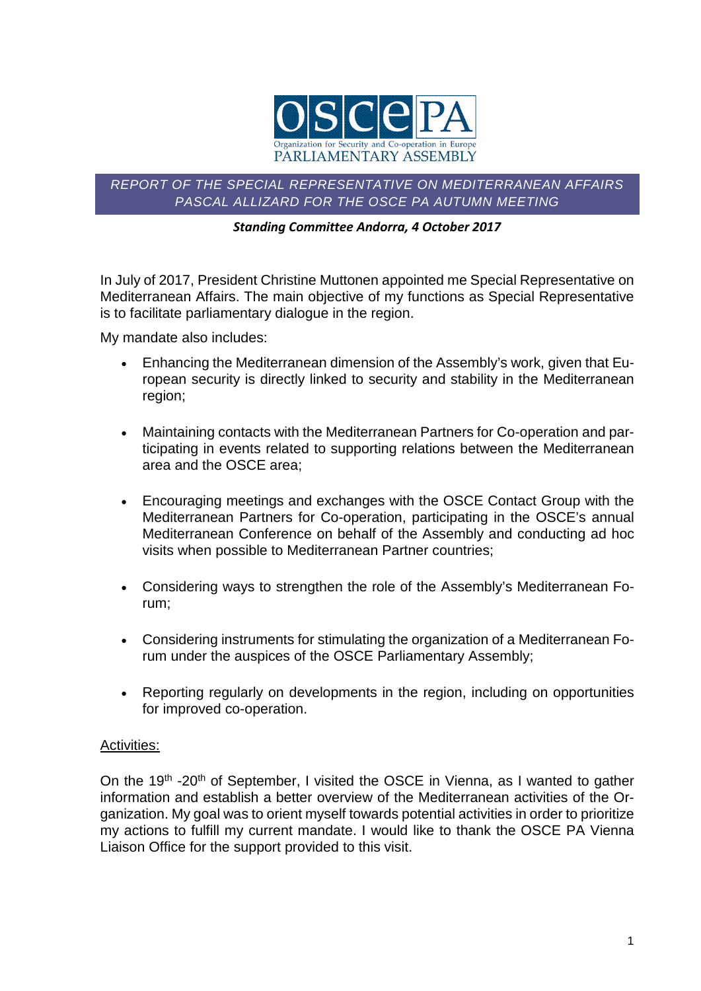

# *REPORT OF THE SPECIAL REPRESENTATIVE ON MEDITERRANEAN AFFAIRS PASCAL ALLIZARD FOR THE OSCE PA AUTUMN MEETING*

## *Standing Committee Andorra, 4 October 2017*

In July of 2017, President Christine Muttonen appointed me Special Representative on Mediterranean Affairs. The main objective of my functions as Special Representative is to facilitate parliamentary dialogue in the region.

My mandate also includes:

- Enhancing the Mediterranean dimension of the Assembly's work, given that European security is directly linked to security and stability in the Mediterranean region;
- Maintaining contacts with the Mediterranean Partners for Co-operation and participating in events related to supporting relations between the Mediterranean area and the OSCE area;
- Encouraging meetings and exchanges with the OSCE Contact Group with the Mediterranean Partners for Co-operation, participating in the OSCE's annual Mediterranean Conference on behalf of the Assembly and conducting ad hoc visits when possible to Mediterranean Partner countries;
- Considering ways to strengthen the role of the Assembly's Mediterranean Forum;
- Considering instruments for stimulating the organization of a Mediterranean Forum under the auspices of the OSCE Parliamentary Assembly;
- Reporting regularly on developments in the region, including on opportunities for improved co-operation.

# Activities:

On the 19<sup>th</sup> -20<sup>th</sup> of September, I visited the OSCE in Vienna, as I wanted to gather information and establish a better overview of the Mediterranean activities of the Organization. My goal was to orient myself towards potential activities in order to prioritize my actions to fulfill my current mandate. I would like to thank the OSCE PA Vienna Liaison Office for the support provided to this visit.